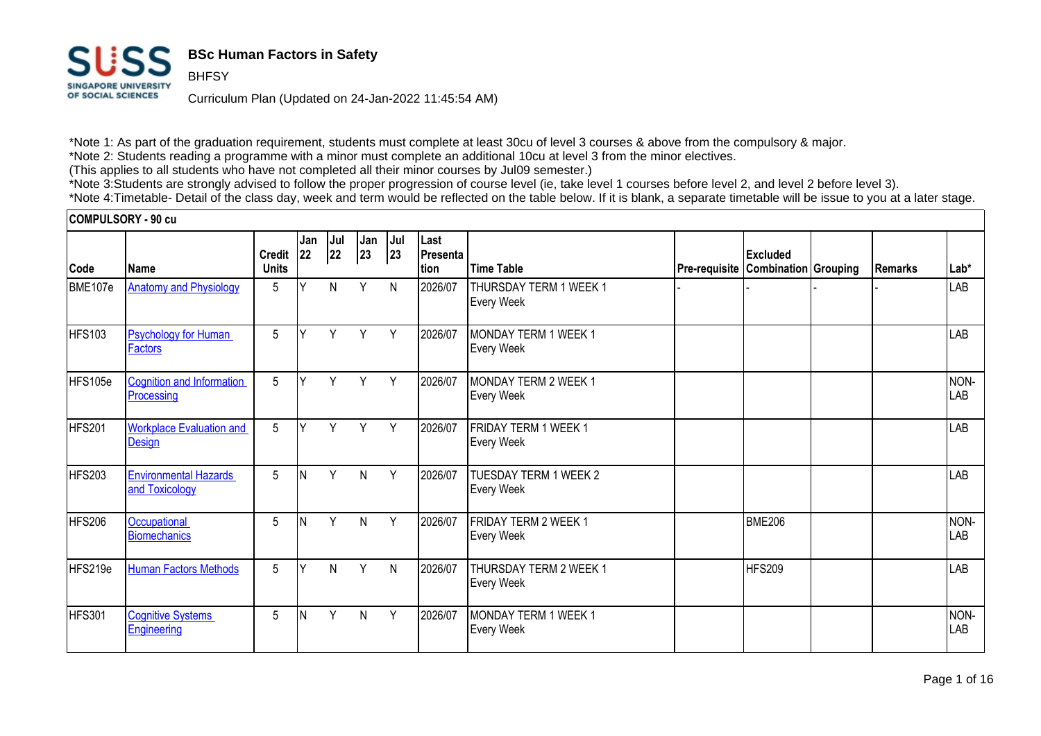

**BHFSY** 

## **BSc Human Factors in Safety**

Curriculum Plan (Updated on 24-Jan-2022 11:45:54 AM)

\*Note 1: As part of the graduation requirement, students must complete at least 30cu of level 3 courses & above from the compulsory & major. \*Note 2: Students reading a programme with a minor must complete an additional 10cu at level 3 from the minor electives.

(This applies to all students who have not completed all their minor courses by Jul09 semester.)

\*Note 3:Students are strongly advised to follow the proper progression of course level (ie, take level 1 courses before level 2, and level 2 before level 3). \*Note 4:Timetable- Detail of the class day, week and term would be reflected on the table below. If it is blank, a separate timetable will be issue to you at a later stage.

#### **COMPULSORY - 90 cu**

|               |                                                | <b>Credit</b> | Jan<br> 22 | Jul<br> 22 | Jan<br>23    | Jul<br>23 | Last<br>Presenta |                                                  |                                           | Excluded      |                 |             |
|---------------|------------------------------------------------|---------------|------------|------------|--------------|-----------|------------------|--------------------------------------------------|-------------------------------------------|---------------|-----------------|-------------|
| Code          | l Name                                         | <b>Units</b>  |            |            |              |           | tion             | <b>Time Table</b>                                | <b>Pre-requisite Combination Grouping</b> |               | <b>IRemarks</b> | Lab*        |
| BME107e       | <b>Anatomy and Physiology</b>                  | 5             |            | N          | Υ            | N         | 2026/07          | THURSDAY TERM 1 WEEK 1<br><b>Every Week</b>      |                                           |               |                 | LAB         |
| HFS103        | <b>Psychology for Human</b><br><b>Factors</b>  | 5             | v          | Y          | Y            | Y         | 2026/07          | MONDAY TERM 1 WEEK 1<br><b>Every Week</b>        |                                           |               |                 | LAB         |
| HFS105e       | <b>Cognition and Information</b><br>Processing | 5             | v          | Y          | Y            | Y         | 2026/07          | MONDAY TERM 2 WEEK 1<br>Every Week               |                                           |               |                 | NON-<br>LAB |
| <b>HFS201</b> | <b>Workplace Evaluation and</b><br>Design      | 5             | Y          | Y          | Y            | Y         | 2026/07          | <b>FRIDAY TERM 1 WEEK 1</b><br><b>Every Week</b> |                                           |               |                 | LAB         |
| <b>HFS203</b> | <b>Environmental Hazards</b><br>and Toxicology | 5             | <b>N</b>   | Y          | $\mathsf{N}$ | Y         | 2026/07          | TUESDAY TERM 1 WEEK 2<br><b>Every Week</b>       |                                           |               |                 | LAB         |
| <b>HFS206</b> | Occupational<br><b>Biomechanics</b>            | 5             | N          | Y          | $\mathsf{N}$ | Y         | 2026/07          | FRIDAY TERM 2 WEEK 1<br><b>Every Week</b>        |                                           | <b>BME206</b> |                 | NON-<br>LAB |
| HFS219e       | <b>Human Factors Methods</b>                   | 5             | $\vee$     | N          | Y            | N         | 2026/07          | THURSDAY TERM 2 WEEK 1<br><b>Every Week</b>      |                                           | <b>HFS209</b> |                 | LAB         |
| HFS301        | <b>Cognitive Systems</b><br>Engineering        | 5             | N          | Y          | N            | Y         | 2026/07          | <b>MONDAY TERM 1 WEEK 1</b><br><b>Every Week</b> |                                           |               |                 | NON-<br>LAB |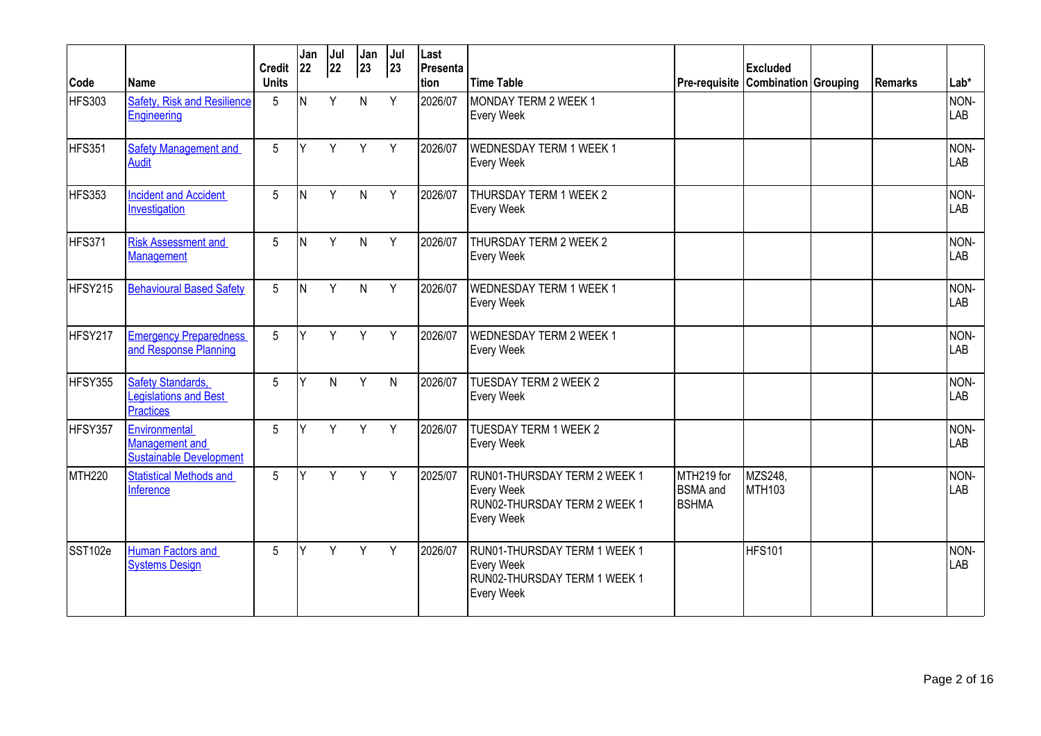|               |                                                                   | <b>Credit</b>   | Jan<br> 22 | Jul<br>22 | Jan<br>23    | Jul<br>23 | Last<br>Presenta |                                                                                                        |                                                             | <b>Excluded</b>             |                |             |
|---------------|-------------------------------------------------------------------|-----------------|------------|-----------|--------------|-----------|------------------|--------------------------------------------------------------------------------------------------------|-------------------------------------------------------------|-----------------------------|----------------|-------------|
| Code          | Name                                                              | <b>Units</b>    |            |           |              |           | tion             | <b>Time Table</b>                                                                                      | Pre-requisite                                               | <b>Combination Grouping</b> | <b>Remarks</b> | Lab*        |
| HFS303        | <b>Safety, Risk and Resilience</b><br>Engineering                 | $5\overline{)}$ | IN.        | Y         | $\mathsf{N}$ | Y         | 2026/07          | MONDAY TERM 2 WEEK 1<br><b>Every Week</b>                                                              |                                                             |                             |                | NON-<br>LAB |
| HFS351        | <b>Safety Management and</b><br><b>Audit</b>                      | $5\phantom{.0}$ | Y          | Y         | Y            | Y         | 2026/07          | <b>WEDNESDAY TERM 1 WEEK 1</b><br><b>Every Week</b>                                                    |                                                             |                             |                | NON-<br>LAB |
| HFS353        | <b>Incident and Accident</b><br>Investigation                     | 5               | IN.        | Y         | $\mathsf{N}$ | Y         | 2026/07          | THURSDAY TERM 1 WEEK 2<br><b>Every Week</b>                                                            |                                                             |                             |                | NON-<br>LAB |
| HFS371        | <b>Risk Assessment and</b><br>Management                          | $5\phantom{.0}$ | ΙN         | Y         | $\mathsf{N}$ | Y         | 2026/07          | THURSDAY TERM 2 WEEK 2<br><b>Every Week</b>                                                            |                                                             |                             |                | NON-<br>LAB |
| HFSY215       | <b>Behavioural Based Safety</b>                                   | $5\overline{)}$ | IN.        | Y         | $\mathsf{N}$ | Y         | 2026/07          | WEDNESDAY TERM 1 WEEK 1<br><b>Every Week</b>                                                           |                                                             |                             |                | NON-<br>LAB |
| HFSY217       | <b>Emergency Preparedness</b><br>and Response Planning            | $5\overline{)}$ | V          | Y         | Y            | Y         | 2026/07          | <b>WEDNESDAY TERM 2 WEEK 1</b><br><b>Every Week</b>                                                    |                                                             |                             |                | NON-<br>LAB |
| HFSY355       | <b>Safety Standards,</b><br>Legislations and Best<br>Practices    | $5\phantom{.0}$ | v          | N         | Y            | N         | 2026/07          | <b>TUESDAY TERM 2 WEEK 2</b><br><b>Every Week</b>                                                      |                                                             |                             |                | NON-<br>LAB |
| HFSY357       | Environmental<br><b>Management</b> and<br>Sustainable Development | $5\overline{)}$ | ٧          | Y         | Y            | Y         | 2026/07          | <b>TUESDAY TERM 1 WEEK 2</b><br><b>Every Week</b>                                                      |                                                             |                             |                | NON-<br>LAB |
| <b>MTH220</b> | <b>Statistical Methods and</b><br>Inference                       | $5\phantom{.0}$ | Υ          | Y         | Y            | Y         | 2025/07          | RUN01-THURSDAY TERM 2 WEEK 1<br><b>Every Week</b><br>RUN02-THURSDAY TERM 2 WEEK 1<br><b>Every Week</b> | MTH <sub>219</sub> for<br><b>BSMA</b> and<br><b>I</b> BSHMA | MZS248,<br><b>MTH103</b>    |                | NON-<br>LAB |
| SST102e       | <b>Human Factors and</b><br><b>Systems Design</b>                 | $5\phantom{.0}$ | Υ          | Y         | Y            | Y         | 2026/07          | RUN01-THURSDAY TERM 1 WEEK 1<br><b>Every Week</b><br>RUN02-THURSDAY TERM 1 WEEK 1<br><b>Every Week</b> |                                                             | <b>HFS101</b>               |                | NON-<br>LAB |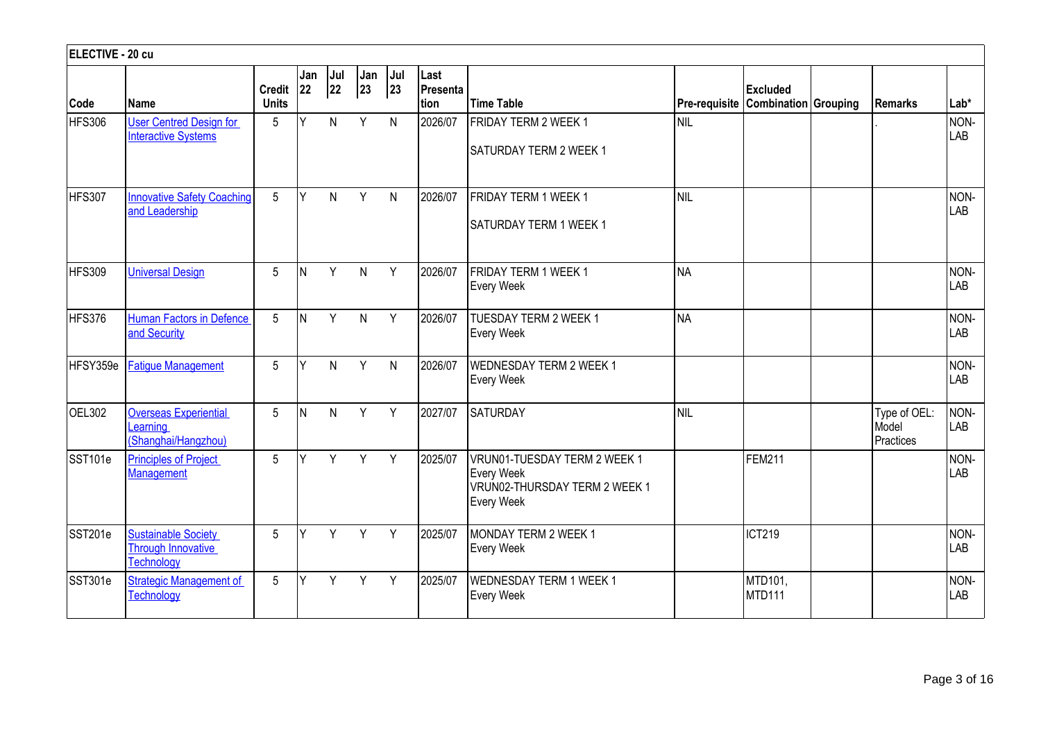| ELECTIVE - 20 cu    |                                                                       |                               |           |                                                         |              |           |                          |                                                                                                         |                      |                                                |                                    |             |
|---------------------|-----------------------------------------------------------------------|-------------------------------|-----------|---------------------------------------------------------|--------------|-----------|--------------------------|---------------------------------------------------------------------------------------------------------|----------------------|------------------------------------------------|------------------------------------|-------------|
| Code                | Name                                                                  | <b>Credit</b><br><b>Units</b> | Jan<br>22 | $\begin{vmatrix} \text{Jul} \\ \text{22} \end{vmatrix}$ | Jan<br>23    | Jul<br>23 | Last<br>Presenta<br>tion | <b>Time Table</b>                                                                                       | <b>Pre-requisite</b> | <b>Excluded</b><br><b>Combination Grouping</b> | Remarks                            | $Lab*$      |
| HFS306              | <b>User Centred Design for</b><br><b>Interactive Systems</b>          | 5                             | Y         | N                                                       | Y            | N         | 2026/07                  | FRIDAY TERM 2 WEEK 1<br><b>SATURDAY TERM 2 WEEK 1</b>                                                   | <b>NIL</b>           |                                                |                                    | NON-<br>LAB |
| HFS307              | <b>Innovative Safety Coaching</b><br>and Leadership                   | 5                             | Y         | N.                                                      | Y            | N         | 2026/07                  | FRIDAY TERM 1 WEEK 1<br><b>SATURDAY TERM 1 WEEK 1</b>                                                   | Inil                 |                                                |                                    | NON-<br>LAB |
| HFS309              | <b>Universal Design</b>                                               | 5                             | N         | Y                                                       | $\mathsf{N}$ | Y         | 2026/07                  | FRIDAY TERM 1 WEEK 1<br><b>Every Week</b>                                                               | <b>NA</b>            |                                                |                                    | NON-<br>LAB |
| HFS376              | <b>Human Factors in Defence</b><br>and Security                       | 5                             | <b>N</b>  | Y                                                       | $\mathsf{N}$ | Y         | 2026/07                  | TUESDAY TERM 2 WEEK 1<br><b>Every Week</b>                                                              | <b>NA</b>            |                                                |                                    | NON-<br>LAB |
| HFSY359e            | <b>Fatique Management</b>                                             | 5                             | Y         | $\mathsf{N}$                                            | Y            | N         | 2026/07                  | <b>WEDNESDAY TERM 2 WEEK 1</b><br><b>Every Week</b>                                                     |                      |                                                |                                    | NON-<br>LAB |
| OEL302              | <b>Overseas Experiential</b><br>earning<br>(Shanghai/Hangzhou)        | 5                             | N         | N.                                                      | Y            | Y         | 2027/07                  | <b>SATURDAY</b>                                                                                         | Inil                 |                                                | Type of OEL:<br>Model<br>Practices | NON-<br>LAB |
| SST <sub>101e</sub> | <b>Principles of Project</b><br>Management                            | 5                             | ٧         | Y                                                       | Y            | Y         | 2025/07                  | VRUN01-TUESDAY TERM 2 WEEK 1<br><b>Every Week</b><br>VRUN02-THURSDAY TERM 2 WEEK 1<br><b>Every Week</b> |                      | <b>FEM211</b>                                  |                                    | NON-<br>LAB |
| SST201e             | <b>Sustainable Society</b><br><b>Through Innovative</b><br>Technology | 5                             | v         | Y                                                       | Y            | Y         | 2025/07                  | MONDAY TERM 2 WEEK 1<br><b>Every Week</b>                                                               |                      | <b>ICT219</b>                                  |                                    | NON-<br>LAB |
| SST301e             | <b>Strategic Management of</b><br><b>Technology</b>                   | 5                             | Y         | Y                                                       | Y            | Y         | 2025/07                  | WEDNESDAY TERM 1 WEEK 1<br><b>Every Week</b>                                                            |                      | MTD101,<br><b>MTD111</b>                       |                                    | NON-<br>LAB |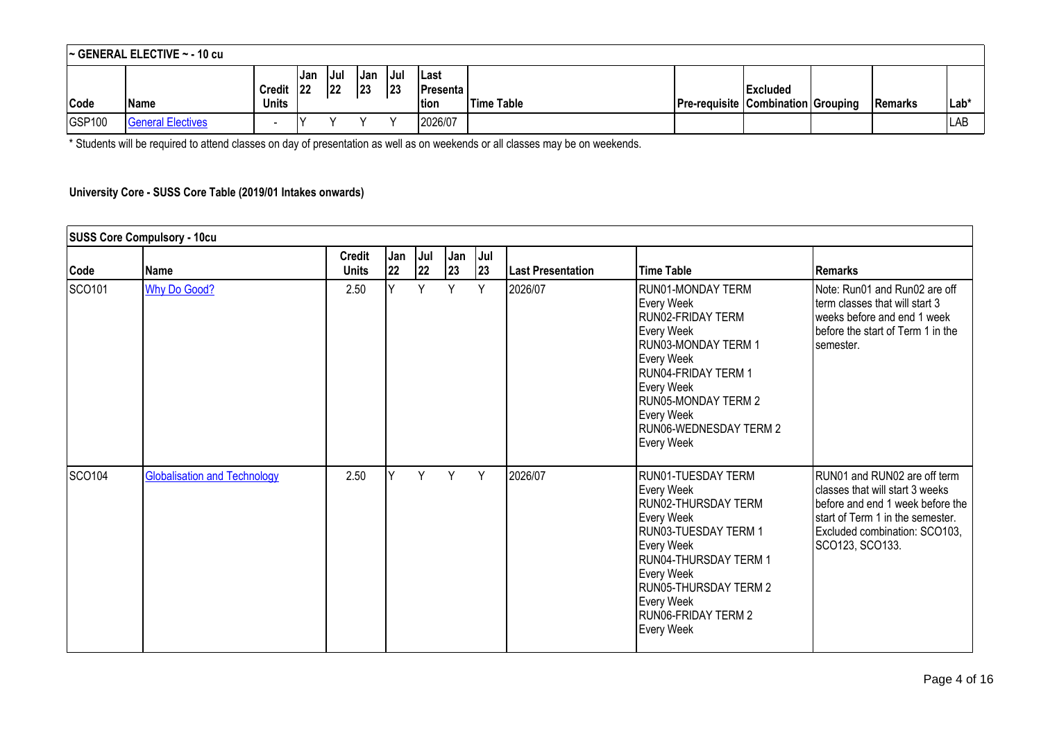|               | $\sim$ GENERAL ELECTIVE $\sim$ - 10 cu |                               |            |            |             |            |                                     |            |                                           |                 |           |             |
|---------------|----------------------------------------|-------------------------------|------------|------------|-------------|------------|-------------------------------------|------------|-------------------------------------------|-----------------|-----------|-------------|
| Code          | <b>Name</b>                            | <b>Credit</b><br><b>Units</b> | Jan<br>122 | Jul<br> 22 | IJan<br> 23 | Jul<br> 23 | l Last<br><b>IPresenta</b><br> tion | Time Table | <b>Pre-requisite Combination Grouping</b> | <b>Excluded</b> | l Remarks | Lab*        |
| <b>GSP100</b> | <b>General Electives</b>               | $\overline{\phantom{a}}$      |            |            |             |            | 2026/07                             |            |                                           |                 |           | <b>ILAB</b> |

\* Students will be required to attend classes on day of presentation as well as on weekends or all classes may be on weekends.

### **University Core - SUSS Core Table (2019/01 Intakes onwards)**

|        | <b>SUSS Core Compulsory - 10cu</b>  |                               |           |             |           |           |                          |                                                                                                                                                                                                                                    |                                                                                                                                                                                             |
|--------|-------------------------------------|-------------------------------|-----------|-------------|-----------|-----------|--------------------------|------------------------------------------------------------------------------------------------------------------------------------------------------------------------------------------------------------------------------------|---------------------------------------------------------------------------------------------------------------------------------------------------------------------------------------------|
| Code   | Name                                | <b>Credit</b><br><b>Units</b> | Jan<br>22 | Jul  <br>22 | Jan<br>23 | Jul<br>23 | <b>Last Presentation</b> | Time Table                                                                                                                                                                                                                         | l Remarks                                                                                                                                                                                   |
| SCO101 | <b>Why Do Good?</b>                 | 2.50                          | Y         | Y           | Y         | Y         | 2026/07                  | RUN01-MONDAY TERM<br>Every Week<br>IRUN02-FRIDAY TERM<br>Every Week<br>RUN03-MONDAY TERM 1<br>Every Week<br>IRUN04-FRIDAY TERM 1<br>Every Week<br><b>RUN05-MONDAY TERM 2</b><br>Every Week<br>RUN06-WEDNESDAY TERM 2<br>Every Week | Note: Run01 and Run02 are off<br>term classes that will start 3<br>weeks before and end 1 week<br>before the start of Term 1 in the<br>semester.                                            |
| SCO104 | <b>Globalisation and Technology</b> | 2.50                          | Υ         | Y           | Y         | Y         | 2026/07                  | RUN01-TUESDAY TERM<br>Every Week<br>RUN02-THURSDAY TERM<br>Every Week<br>IRUN03-TUESDAY TERM 1<br>Every Week<br>RUN04-THURSDAY TERM 1<br>Every Week<br>RUN05-THURSDAY TERM 2<br>Every Week<br>RUN06-FRIDAY TERM 2<br>Every Week    | RUN01 and RUN02 are off term<br>classes that will start 3 weeks<br>before and end 1 week before the<br>start of Term 1 in the semester.<br>Excluded combination: SCO103,<br>SCO123, SCO133. |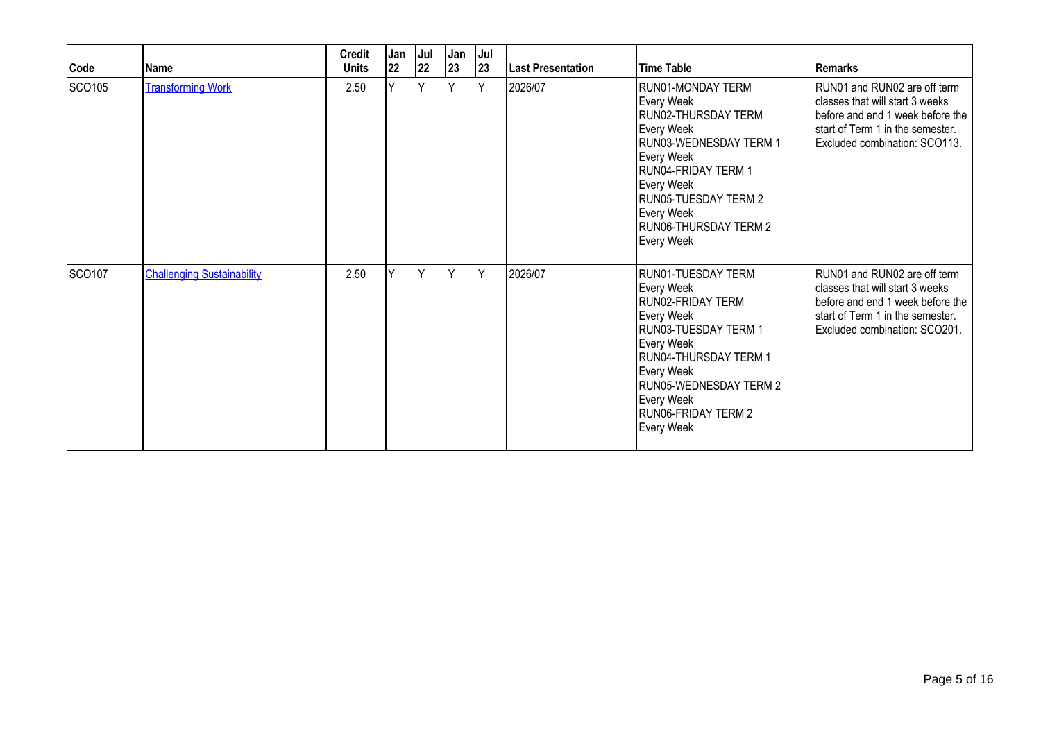| Code          | Name                              | <b>Credit</b><br><b>Units</b> | Jan<br>22 | Jul<br> 22 | Jan<br>23 | Jul<br>23 | <b>Last Presentation</b> | <b>Time Table</b>                                                                                                                                                                                                              | l Remarks                                                                                                                                                                |
|---------------|-----------------------------------|-------------------------------|-----------|------------|-----------|-----------|--------------------------|--------------------------------------------------------------------------------------------------------------------------------------------------------------------------------------------------------------------------------|--------------------------------------------------------------------------------------------------------------------------------------------------------------------------|
| SCO105        | <b>Transforming Work</b>          | 2.50                          | Y         | Υ          | Y         | Y         | 2026/07                  | RUN01-MONDAY TERM<br>Every Week<br>RUN02-THURSDAY TERM<br>Every Week<br>RUN03-WEDNESDAY TERM 1<br>Every Week<br>RUN04-FRIDAY TERM 1<br>Every Week<br>RUN05-TUESDAY TERM 2<br>Every Week<br>RUN06-THURSDAY TERM 2<br>Every Week | RUN01 and RUN02 are off term<br>classes that will start 3 weeks<br>before and end 1 week before the<br>start of Term 1 in the semester.<br>Excluded combination: SCO113. |
| <b>SCO107</b> | <b>Challenging Sustainability</b> | 2.50                          | ٧         | Υ          | Y         | Y         | 2026/07                  | RUN01-TUESDAY TERM<br>Every Week<br>RUN02-FRIDAY TERM<br>Every Week<br>RUN03-TUESDAY TERM 1<br>Every Week<br>RUN04-THURSDAY TERM 1<br>Every Week<br>RUN05-WEDNESDAY TERM 2<br>Every Week<br>RUN06-FRIDAY TERM 2<br>Every Week  | RUN01 and RUN02 are off term<br>classes that will start 3 weeks<br>before and end 1 week before the<br>start of Term 1 in the semester.<br>Excluded combination: SCO201. |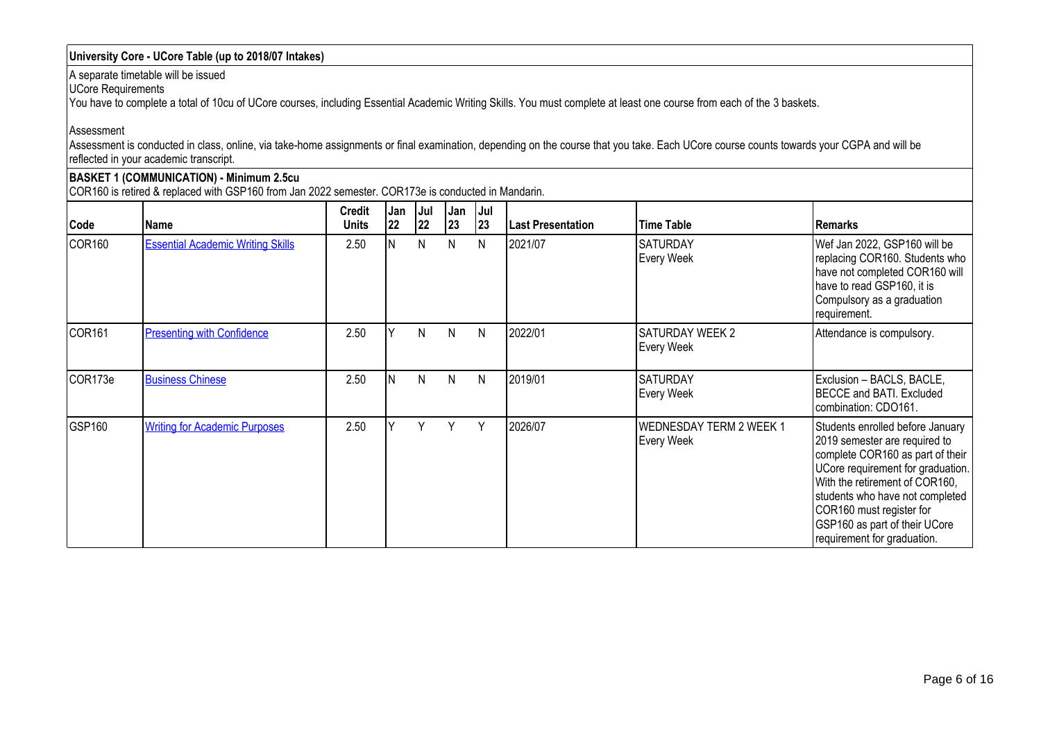### **University Core - UCore Table (up to 2018/07 Intakes)**

A separate timetable will be issued

UCore Requirements

You have to complete a total of 10cu of UCore courses, including Essential Academic Writing Skills. You must complete at least one course from each of the 3 baskets.

Assessment

Assessment is conducted in class, online, via take-home assignments or final examination, depending on the course that you take. Each UCore course counts towards your CGPA and will be reflected in your academic transcript.

# **BASKET 1 (COMMUNICATION) - Minimum 2.5cu**

COR160 is retired & replaced with GSP160 from Jan 2022 semester. COR173e is conducted in Mandarin.

| Code               | Name                                     | <b>Credit</b><br><b>Units</b> | Jan<br>22 | Jul<br>22 | Jan<br>23 | <b>Jul</b><br> 23 | <b>Last Presentation</b> | <b>Time Table</b>                            | Remarks                                                                                                                                                                                                                                                                                                     |
|--------------------|------------------------------------------|-------------------------------|-----------|-----------|-----------|-------------------|--------------------------|----------------------------------------------|-------------------------------------------------------------------------------------------------------------------------------------------------------------------------------------------------------------------------------------------------------------------------------------------------------------|
| COR <sub>160</sub> | <b>Essential Academic Writing Skills</b> | 2.50                          |           | N         | N         | N                 | 2021/07                  | <b>SATURDAY</b><br>Every Week                | Wef Jan 2022, GSP160 will be<br>replacing COR160. Students who<br>have not completed COR160 will<br>have to read GSP160, it is<br>Compulsory as a graduation<br>requirement.                                                                                                                                |
| COR <sub>161</sub> | <b>Presenting with Confidence</b>        | 2.50                          |           | N         | N         | N                 | 2022/01                  | <b>I</b> SATURDAY WEEK 2<br>Every Week       | Attendance is compulsory.                                                                                                                                                                                                                                                                                   |
| COR173e            | <b>Business Chinese</b>                  | 2.50                          | IN.       | N         | N         | N                 | 2019/01                  | <b>SATURDAY</b><br>Every Week                | Exclusion - BACLS, BACLE,<br>BECCE and BATI. Excluded<br>combination: CDO161.                                                                                                                                                                                                                               |
| GSP160             | <b>Writing for Academic Purposes</b>     | 2.50                          |           | ٧         | Y         | Y                 | 2026/07                  | <b>WEDNESDAY TERM 2 WEEK 1</b><br>Every Week | Students enrolled before January<br>2019 semester are required to<br>complete COR160 as part of their<br>UCore requirement for graduation.<br>With the retirement of COR160,<br>students who have not completed<br>COR160 must register for<br>GSP160 as part of their UCore<br>requirement for graduation. |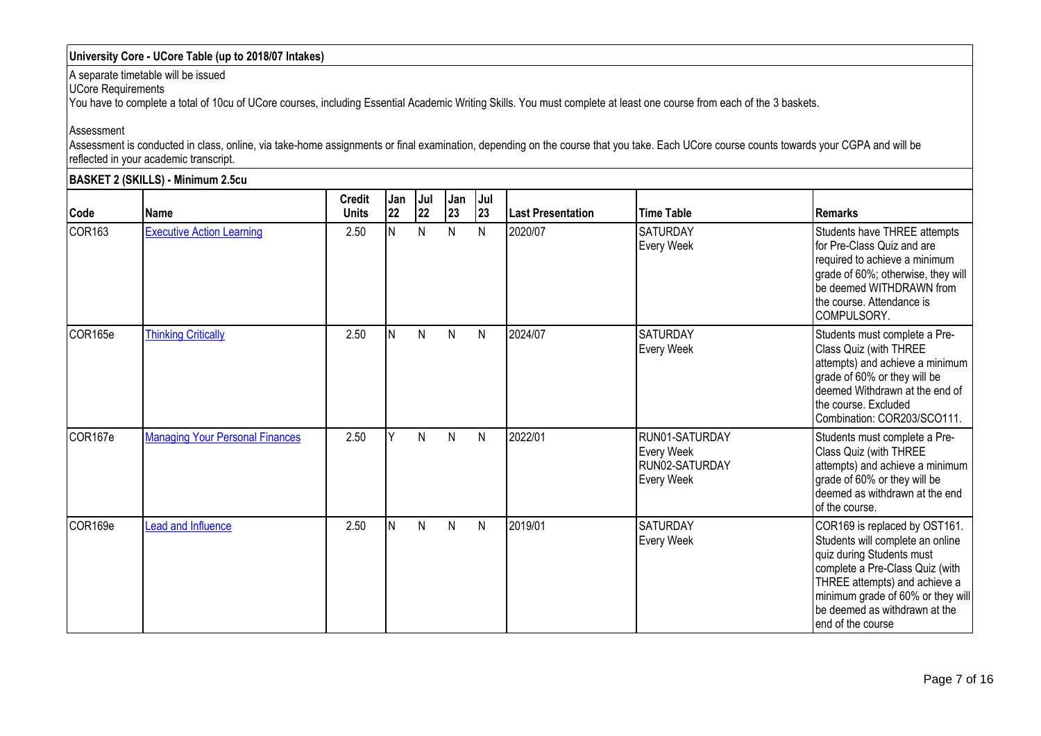### **University Core - UCore Table (up to 2018/07 Intakes)**

A separate timetable will be issued

UCore Requirements

You have to complete a total of 10cu of UCore courses, including Essential Academic Writing Skills. You must complete at least one course from each of the 3 baskets.

#### Assessment

Assessment is conducted in class, online, via take-home assignments or final examination, depending on the course that you take. Each UCore course counts towards your CGPA and will be reflected in your academic transcript.

|                    | <b>BASKET 2 (SKILLS) - Minimum 2.5cu</b> |                               |           |              |              |              |                   |                                                              |                                                                                                                                                                                                                                                                |
|--------------------|------------------------------------------|-------------------------------|-----------|--------------|--------------|--------------|-------------------|--------------------------------------------------------------|----------------------------------------------------------------------------------------------------------------------------------------------------------------------------------------------------------------------------------------------------------------|
| Code               | Name                                     | <b>Credit</b><br><b>Units</b> | Jan<br>22 | Jul<br>22    | Jan<br>23    | Jul<br>23    | Last Presentation | <b>Time Table</b>                                            | <b>Remarks</b>                                                                                                                                                                                                                                                 |
| COR <sub>163</sub> | <b>Executive Action Learning</b>         | 2.50                          | IN.       | $\mathsf{N}$ | $\mathsf{N}$ | $\mathsf{N}$ | 2020/07           | <b>SATURDAY</b><br>Every Week                                | Students have THREE attempts<br>for Pre-Class Quiz and are<br>required to achieve a minimum<br>grade of 60%; otherwise, they will<br>be deemed WITHDRAWN from<br>the course. Attendance is<br>COMPULSORY.                                                      |
| COR165e            | <b>Thinking Critically</b>               | 2.50                          | IN.       | N            | N            | N            | 2024/07           | <b>SATURDAY</b><br>Every Week                                | Students must complete a Pre-<br>Class Quiz (with THREE<br>attempts) and achieve a minimum<br>grade of 60% or they will be<br>deemed Withdrawn at the end of<br>the course. Excluded<br>Combination: COR203/SCO111.                                            |
| COR167e            | <b>Managing Your Personal Finances</b>   | 2.50                          |           | N            | N            | N            | 2022/01           | RUN01-SATURDAY<br>Every Week<br>RUN02-SATURDAY<br>Every Week | Students must complete a Pre-<br>Class Quiz (with THREE<br>attempts) and achieve a minimum<br>grade of 60% or they will be<br>deemed as withdrawn at the end<br>of the course.                                                                                 |
| COR169e            | Lead and Influence                       | 2.50                          | IN.       | $\mathsf{N}$ | N            | N            | 2019/01           | <b>SATURDAY</b><br>Every Week                                | COR169 is replaced by OST161.<br>Students will complete an online<br>quiz during Students must<br>complete a Pre-Class Quiz (with<br>THREE attempts) and achieve a<br>minimum grade of 60% or they will<br>be deemed as withdrawn at the<br>lend of the course |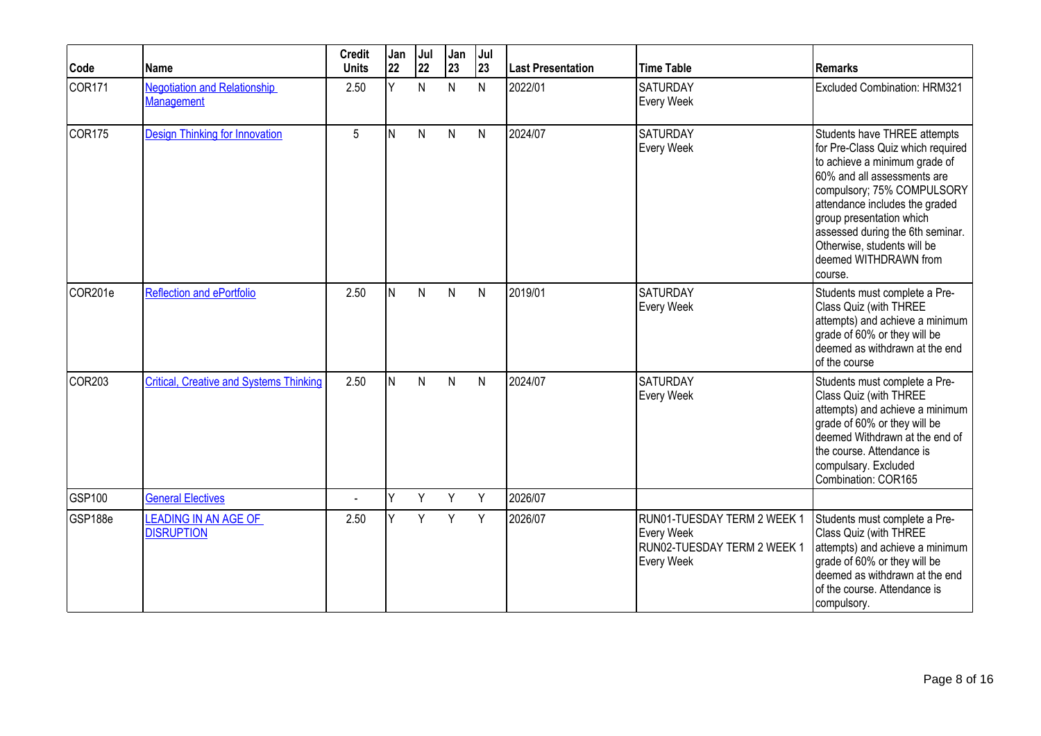| Code               | Name                                                     | <b>Credit</b><br><b>Units</b> | Jan<br>22 | Jul<br>22    | Jan<br>23 | Jul<br> 23   | <b>Last Presentation</b> | <b>Time Table</b>                                                                      | <b>Remarks</b>                                                                                                                                                                                                                                                                                                                       |
|--------------------|----------------------------------------------------------|-------------------------------|-----------|--------------|-----------|--------------|--------------------------|----------------------------------------------------------------------------------------|--------------------------------------------------------------------------------------------------------------------------------------------------------------------------------------------------------------------------------------------------------------------------------------------------------------------------------------|
| COR <sub>171</sub> | <b>Negotiation and Relationship</b><br><b>Management</b> | 2.50                          | Ÿ         | $\mathsf{N}$ | N         | $\mathsf{N}$ | 2022/01                  | <b>SATURDAY</b><br>Every Week                                                          | <b>Excluded Combination: HRM321</b>                                                                                                                                                                                                                                                                                                  |
| COR <sub>175</sub> | <b>Design Thinking for Innovation</b>                    | 5                             | IN.       | N            | N         | N            | 2024/07                  | <b>SATURDAY</b><br>Every Week                                                          | Students have THREE attempts<br>for Pre-Class Quiz which required<br>to achieve a minimum grade of<br>60% and all assessments are<br>compulsory; 75% COMPULSORY<br>attendance includes the graded<br>group presentation which<br>assessed during the 6th seminar.<br>Otherwise, students will be<br>deemed WITHDRAWN from<br>course. |
| COR201e            | <b>Reflection and ePortfolio</b>                         | 2.50                          | IN.       | N            | N         | $\mathsf{N}$ | 2019/01                  | <b>SATURDAY</b><br>Every Week                                                          | Students must complete a Pre-<br>Class Quiz (with THREE<br>attempts) and achieve a minimum<br>grade of 60% or they will be<br>deemed as withdrawn at the end<br>of the course                                                                                                                                                        |
| COR <sub>203</sub> | <b>Critical, Creative and Systems Thinking</b>           | 2.50                          | IN.       | N            | N         | N            | 2024/07                  | SATURDAY<br>Every Week                                                                 | Students must complete a Pre-<br>Class Quiz (with THREE<br>attempts) and achieve a minimum<br>grade of 60% or they will be<br>deemed Withdrawn at the end of<br>the course. Attendance is<br>compulsary. Excluded<br>Combination: COR165                                                                                             |
| GSP100             | <b>General Electives</b>                                 | ä,                            | lΥ        | Y            | Y         | Y            | 2026/07                  |                                                                                        |                                                                                                                                                                                                                                                                                                                                      |
| GSP188e            | <b>LEADING IN AN AGE OF</b><br><b>DISRUPTION</b>         | 2.50                          | v         | Y            | Y         | Y            | 2026/07                  | RUN01-TUESDAY TERM 2 WEEK 1<br>Every Week<br>RUN02-TUESDAY TERM 2 WEEK 1<br>Every Week | Students must complete a Pre-<br>Class Quiz (with THREE<br>attempts) and achieve a minimum<br>grade of 60% or they will be<br>deemed as withdrawn at the end<br>of the course. Attendance is<br>compulsory.                                                                                                                          |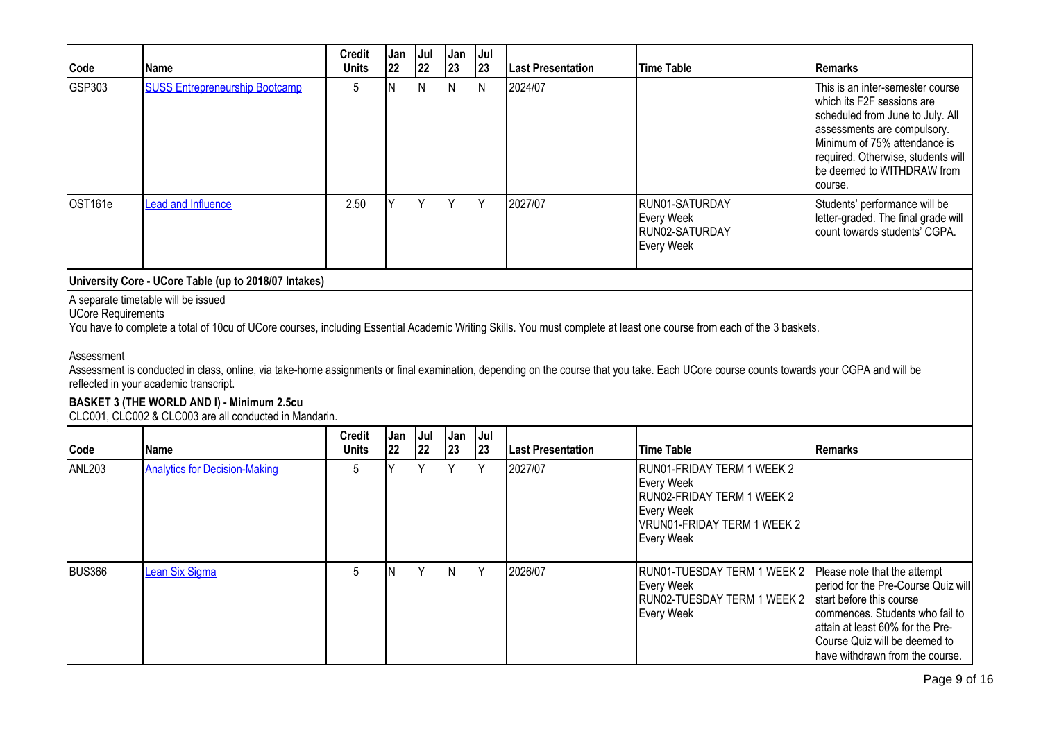| Code                                    | <b>Name</b>                                                                                          | <b>Credit</b><br><b>Units</b> | Jan<br>22 | Jul<br>22    | Jan<br>23 | Jul<br>23 | Last Presentation | <b>Time Table</b>                                                                                                                                                                                                                                                                                                                                                | <b>Remarks</b>                                                                                                                                                                                                                                   |
|-----------------------------------------|------------------------------------------------------------------------------------------------------|-------------------------------|-----------|--------------|-----------|-----------|-------------------|------------------------------------------------------------------------------------------------------------------------------------------------------------------------------------------------------------------------------------------------------------------------------------------------------------------------------------------------------------------|--------------------------------------------------------------------------------------------------------------------------------------------------------------------------------------------------------------------------------------------------|
| GSP303                                  | <b>SUSS Entrepreneurship Bootcamp</b>                                                                | 5                             | IN.       | $\mathsf{N}$ | N         | N         | 2024/07           |                                                                                                                                                                                                                                                                                                                                                                  | This is an inter-semester course<br>which its F2F sessions are<br>scheduled from June to July. All<br>assessments are compulsory.<br>Minimum of 75% attendance is<br>required. Otherwise, students will<br>be deemed to WITHDRAW from<br>course. |
| OST161e                                 | <b>Lead and Influence</b>                                                                            | 2.50                          |           | Y            | Y         | Y         | 2027/07           | RUN01-SATURDAY<br>Every Week<br>RUN02-SATURDAY<br>Every Week                                                                                                                                                                                                                                                                                                     | Students' performance will be<br>letter-graded. The final grade will<br>count towards students' CGPA.                                                                                                                                            |
|                                         | University Core - UCore Table (up to 2018/07 Intakes)                                                |                               |           |              |           |           |                   |                                                                                                                                                                                                                                                                                                                                                                  |                                                                                                                                                                                                                                                  |
| <b>UCore Requirements</b><br>Assessment | reflected in your academic transcript.                                                               |                               |           |              |           |           |                   | You have to complete a total of 10cu of UCore courses, including Essential Academic Writing Skills. You must complete at least one course from each of the 3 baskets.<br>Assessment is conducted in class, online, via take-home assignments or final examination, depending on the course that you take. Each UCore course counts towards your CGPA and will be |                                                                                                                                                                                                                                                  |
|                                         | BASKET 3 (THE WORLD AND I) - Minimum 2.5cu<br>CLC001, CLC002 & CLC003 are all conducted in Mandarin. |                               |           |              |           |           |                   |                                                                                                                                                                                                                                                                                                                                                                  |                                                                                                                                                                                                                                                  |
| Code                                    | <b>Name</b>                                                                                          | <b>Credit</b><br><b>Units</b> | Jan<br>22 | Jul<br>22    | Jan<br>23 | Jul<br>23 | Last Presentation | <b>Time Table</b>                                                                                                                                                                                                                                                                                                                                                | <b>Remarks</b>                                                                                                                                                                                                                                   |
| <b>ANL203</b>                           | <b>Analytics for Decision-Making</b>                                                                 | 5                             | V         | Y            | Y         | Y         | 2027/07           | RUN01-FRIDAY TERM 1 WEEK 2<br><b>Every Week</b><br>RUN02-FRIDAY TERM 1 WEEK 2<br>Every Week<br>VRUN01-FRIDAY TERM 1 WEEK 2<br><b>Every Week</b>                                                                                                                                                                                                                  |                                                                                                                                                                                                                                                  |
| <b>BUS366</b>                           | <b>Lean Six Sigma</b>                                                                                | 5                             | IN.       | Y            | N         | Y         | 2026/07           | RUN01-TUESDAY TERM 1 WEEK 2<br>Every Week<br>RUN02-TUESDAY TERM 1 WEEK 2<br><b>Every Week</b>                                                                                                                                                                                                                                                                    | Please note that the attempt<br>period for the Pre-Course Quiz will<br>start before this course<br>commences. Students who fail to<br>attain at least 60% for the Pre-<br>Course Quiz will be deemed to<br>have withdrawn from the course.       |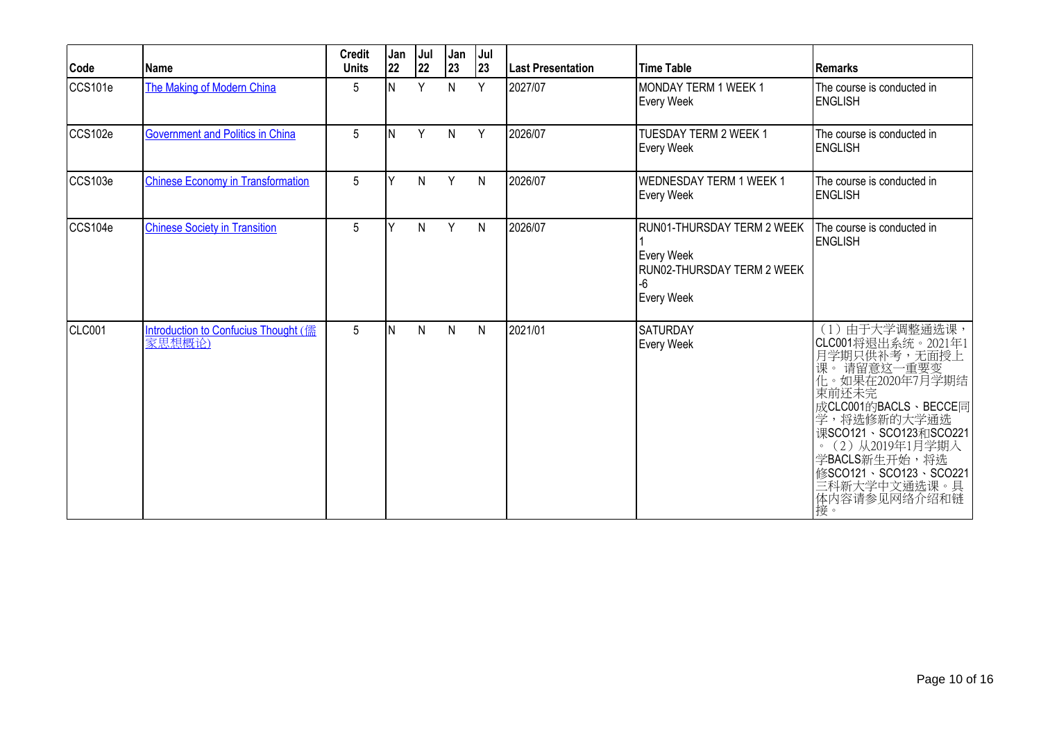| Code          | Name                                           | <b>Credit</b><br><b>Units</b> | Jan<br>22 | Jul<br>22 | Jan<br>23    | Jul<br>23    | <b>Last Presentation</b> | <b>Time Table</b>                                                                          | l Remarks                                                                                                                                                                                                                                                                         |
|---------------|------------------------------------------------|-------------------------------|-----------|-----------|--------------|--------------|--------------------------|--------------------------------------------------------------------------------------------|-----------------------------------------------------------------------------------------------------------------------------------------------------------------------------------------------------------------------------------------------------------------------------------|
| CCS101e       | The Making of Modern China                     | 5                             | N         | Y         | N            | Y            | 2027/07                  | MONDAY TERM 1 WEEK 1<br>Every Week                                                         | The course is conducted in<br><b>ENGLISH</b>                                                                                                                                                                                                                                      |
| CCS102e       | <b>Government and Politics in China</b>        | 5                             | IN.       | Y         | N            | Y            | 2026/07                  | TUESDAY TERM 2 WEEK 1<br>Every Week                                                        | The course is conducted in<br><b>ENGLISH</b>                                                                                                                                                                                                                                      |
| CCS103e       | <b>Chinese Economy in Transformation</b>       | 5                             | Y         | N         | Y            | N            | 2026/07                  | <b>WEDNESDAY TERM 1 WEEK 1</b><br>Every Week                                               | The course is conducted in<br><b>ENGLISH</b>                                                                                                                                                                                                                                      |
| CCS104e       | <b>Chinese Society in Transition</b>           | 5                             | v         | N         | Y            | $\mathsf{N}$ | 2026/07                  | RUN01-THURSDAY TERM 2 WEEK<br>Every Week<br>RUN02-THURSDAY TERM 2 WEEK<br>-6<br>Every Week | The course is conducted in<br><b>ENGLISH</b>                                                                                                                                                                                                                                      |
| <b>CLC001</b> | Introduction to Confucius Thought (儒<br>家思想概论) | 5                             | IN.       | N         | $\mathsf{N}$ | $\mathsf{N}$ | 2021/01                  | <b>SATURDAY</b><br>Every Week                                                              | (1) 由于大学调整通选课,<br> CLC001将退出系统。2021年1<br> 月学期只供补考,无面授上<br> 课。 请留意这一重要变<br> 化。如果在2020年7月学期结<br>束前还未完<br>成CLC001的BACLS、BECCE同<br>学,将选修新的大学通选<br>课SCO121、SCO123和SCO221<br>(2) 从2019年1月学期入<br>$\circ$<br>学BACLS新生开始,将选<br>修SCO121、SCO123、SCO221<br>三科新大学中文通选课。具<br>体内容请参见网络介绍和链<br>接。 |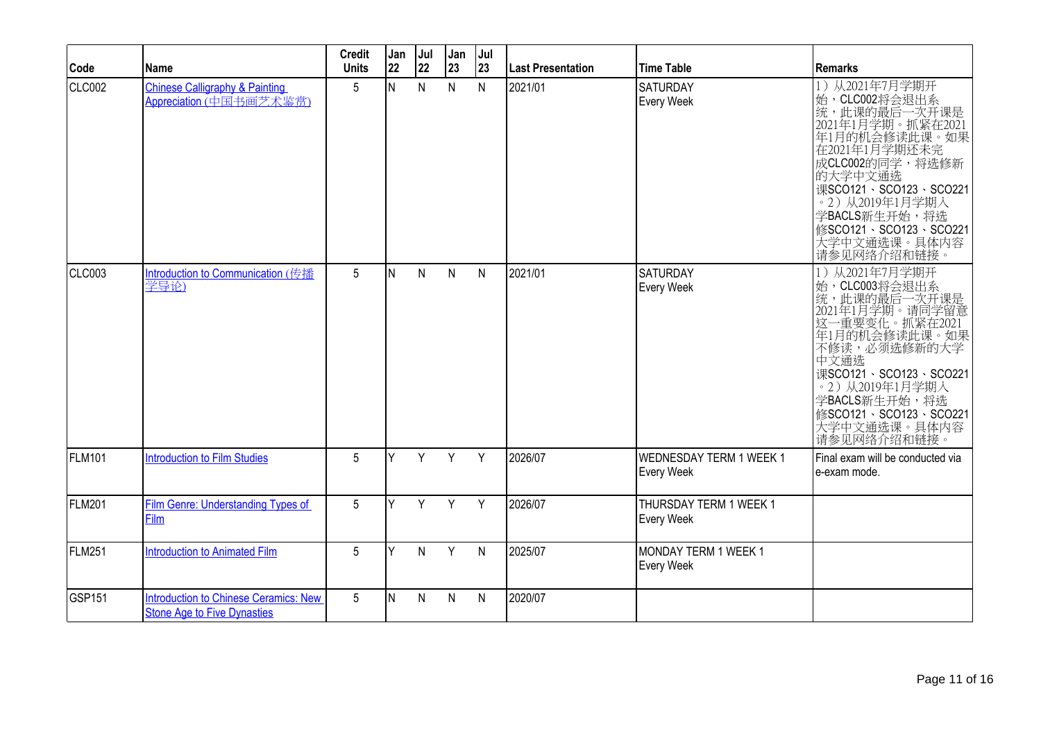| Code               | Name                                                                               | <b>Credit</b><br><b>Units</b> | Jan<br>22 | Jul<br>22    | Jan<br>23    | Jul<br>23    | <b>Last Presentation</b> | <b>Time Table</b>                     | <b>Remarks</b>                                                                                                                                                                                                                                              |
|--------------------|------------------------------------------------------------------------------------|-------------------------------|-----------|--------------|--------------|--------------|--------------------------|---------------------------------------|-------------------------------------------------------------------------------------------------------------------------------------------------------------------------------------------------------------------------------------------------------------|
| CLC002             | <b>Chinese Calligraphy &amp; Painting</b><br>Appreciation (中国书画艺术鉴赏)               | 5                             | lΝ        | $\mathsf{N}$ | $\mathsf{N}$ | $\mathsf{N}$ | 2021/01                  | <b>SATURDAY</b><br>Every Week         | 1) 从2021年7月学期开<br>始,CLC002将会退出系<br>」统,此课的最后一次开课是<br> 2021年1月学期。抓紧在2021<br>年1月的机会修读此课。如果<br>在2021年1月学期还未完<br>成CLC002的同学,将选修新<br>的大学中文通选<br>课SCO121、SCO123、SCO221<br>。2) 从2019年1月学期入<br>学BACLS新生开始,将选<br>修SCO121、SCO123、SCO221<br>大学中文通选课。具体内容<br>请参见网络介绍和链接。 |
| CLC003             | Introduction to Communication (传播<br>学导论)                                          | 5                             | İΝ        | N            | $\mathsf{N}$ | $\mathsf{N}$ | 2021/01                  | <b>SATURDAY</b><br><b>Every Week</b>  | 1) 从2021年7月学期开<br>始,CLC003将会退出系<br>统,此课的最后一次开课是<br>2021年1月学期。请同学留意<br>这一重要变化。抓紧在2021<br>年1月的机会修读此课。如果<br>不修读,必须选修新的大学<br>中文通选<br>课SCO121、SCO123、SCO221<br>。2) 从2019年1月学期入<br>学BACLS新生开始,将选<br>修SCO121、SCO123、SCO221<br>大学中文通选课。具体内容<br>请参见网络介绍和链接。          |
| <b>FLM101</b>      | <b>Introduction to Film Studies</b>                                                | 5                             | Y         | Y            | Y            | Y            | 2026/07                  | WEDNESDAY TERM 1 WEEK 1<br>Every Week | Final exam will be conducted via<br>e-exam mode.                                                                                                                                                                                                            |
| <b>FLM201</b>      | <b>Film Genre: Understanding Types of</b><br>Film                                  | 5                             | Y         | Y            | Y            | Y            | 2026/07                  | THURSDAY TERM 1 WEEK 1<br>Every Week  |                                                                                                                                                                                                                                                             |
| FLM251             | <b>Introduction to Animated Film</b>                                               | 5                             | Y         | N            | Y            | $\mathsf{N}$ | 2025/07                  | MONDAY TERM 1 WEEK 1<br>Every Week    |                                                                                                                                                                                                                                                             |
| GSP <sub>151</sub> | <b>Introduction to Chinese Ceramics: New</b><br><b>Stone Age to Five Dynasties</b> | 5                             | IN.       | N            | $\mathsf{N}$ | N            | 2020/07                  |                                       |                                                                                                                                                                                                                                                             |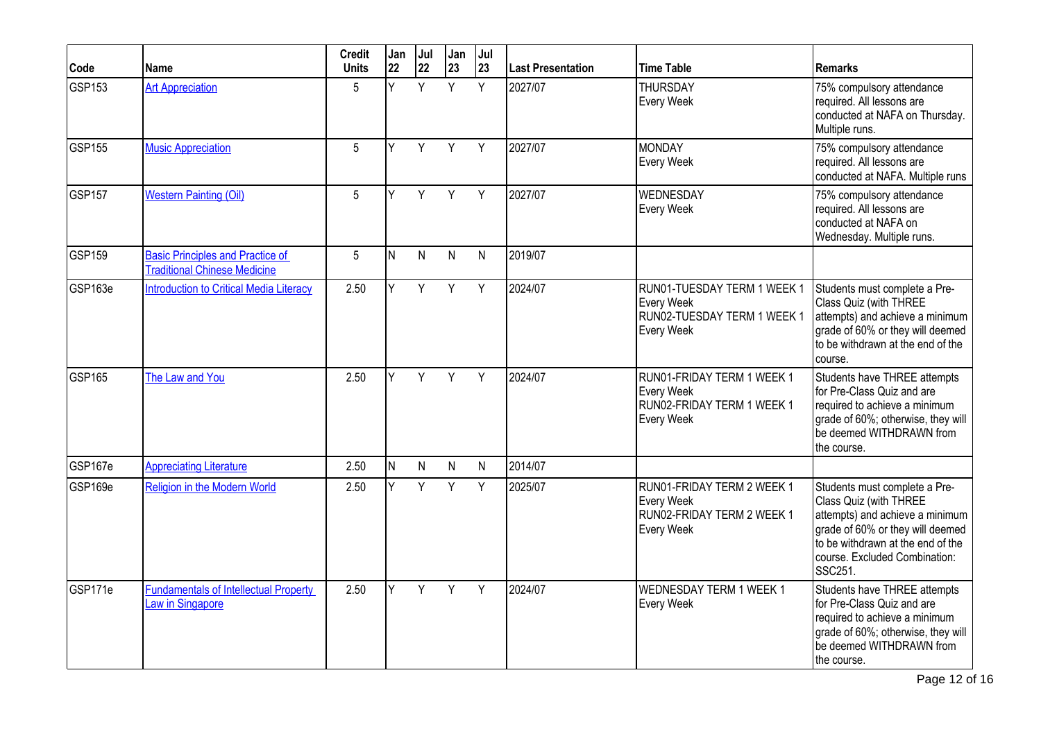| Code    | <b>Name</b>                                                                    | <b>Credit</b><br><b>Units</b> | Jan<br>22 | Jul<br>22    | Jan<br>23    | Jul<br>23 | <b>Last Presentation</b> | <b>Time Table</b>                                                                             | Remarks                                                                                                                                                                                                         |
|---------|--------------------------------------------------------------------------------|-------------------------------|-----------|--------------|--------------|-----------|--------------------------|-----------------------------------------------------------------------------------------------|-----------------------------------------------------------------------------------------------------------------------------------------------------------------------------------------------------------------|
| GSP153  | <b>Art Appreciation</b>                                                        | 5                             | Y         | Y            | Y            | Y         | 2027/07                  | <b>THURSDAY</b><br>Every Week                                                                 | 75% compulsory attendance<br>required. All lessons are<br>conducted at NAFA on Thursday.<br>Multiple runs.                                                                                                      |
| GSP155  | <b>Music Appreciation</b>                                                      | 5                             | Y         | Y            | Y            | Y         | 2027/07                  | <b>MONDAY</b><br>Every Week                                                                   | 75% compulsory attendance<br>required. All lessons are<br>conducted at NAFA. Multiple runs                                                                                                                      |
| GSP157  | <b>Western Painting (Oil)</b>                                                  | 5                             | v         | Y            | Y            | Y         | 2027/07                  | <b>WEDNESDAY</b><br>Every Week                                                                | 75% compulsory attendance<br>required. All lessons are<br>conducted at NAFA on<br>Wednesday. Multiple runs.                                                                                                     |
| GSP159  | <b>Basic Principles and Practice of</b><br><b>Traditional Chinese Medicine</b> | 5                             | N.        | $\mathsf{N}$ | $\mathsf{N}$ | N         | 2019/07                  |                                                                                               |                                                                                                                                                                                                                 |
| GSP163e | <b>Introduction to Critical Media Literacy</b>                                 | 2.50                          | Y.        | Y            | Y            | Y         | 2024/07                  | RUN01-TUESDAY TERM 1 WEEK 1<br><b>Every Week</b><br>RUN02-TUESDAY TERM 1 WEEK 1<br>Every Week | Students must complete a Pre-<br>Class Quiz (with THREE<br>attempts) and achieve a minimum<br>grade of 60% or they will deemed<br>to be withdrawn at the end of the<br>course.                                  |
| GSP165  | The Law and You                                                                | 2.50                          | V         | Y            | Y            | Y         | 2024/07                  | RUN01-FRIDAY TERM 1 WEEK 1<br>Every Week<br>RUN02-FRIDAY TERM 1 WEEK 1<br>Every Week          | Students have THREE attempts<br>for Pre-Class Quiz and are<br>required to achieve a minimum<br>grade of 60%; otherwise, they will<br>be deemed WITHDRAWN from<br>the course.                                    |
| GSP167e | <b>Appreciating Literature</b>                                                 | 2.50                          | lN.       | $\mathsf{N}$ | $\mathsf{N}$ | N         | 2014/07                  |                                                                                               |                                                                                                                                                                                                                 |
| GSP169e | Religion in the Modern World                                                   | 2.50                          | Y         | Y            | Y            | Y         | 2025/07                  | RUN01-FRIDAY TERM 2 WEEK 1<br><b>Every Week</b><br>RUN02-FRIDAY TERM 2 WEEK 1<br>Every Week   | Students must complete a Pre-<br>Class Quiz (with THREE<br>attempts) and achieve a minimum<br>grade of 60% or they will deemed<br>to be withdrawn at the end of the<br>course. Excluded Combination:<br>SSC251. |
| GSP171e | <b>Fundamentals of Intellectual Property</b><br>aw in Singapore                | 2.50                          | Y         | Y            | Y            | Y         | 2024/07                  | <b>WEDNESDAY TERM 1 WEEK 1</b><br>Every Week                                                  | Students have THREE attempts<br>for Pre-Class Quiz and are<br>required to achieve a minimum<br>grade of 60%; otherwise, they will<br>be deemed WITHDRAWN from<br>the course.                                    |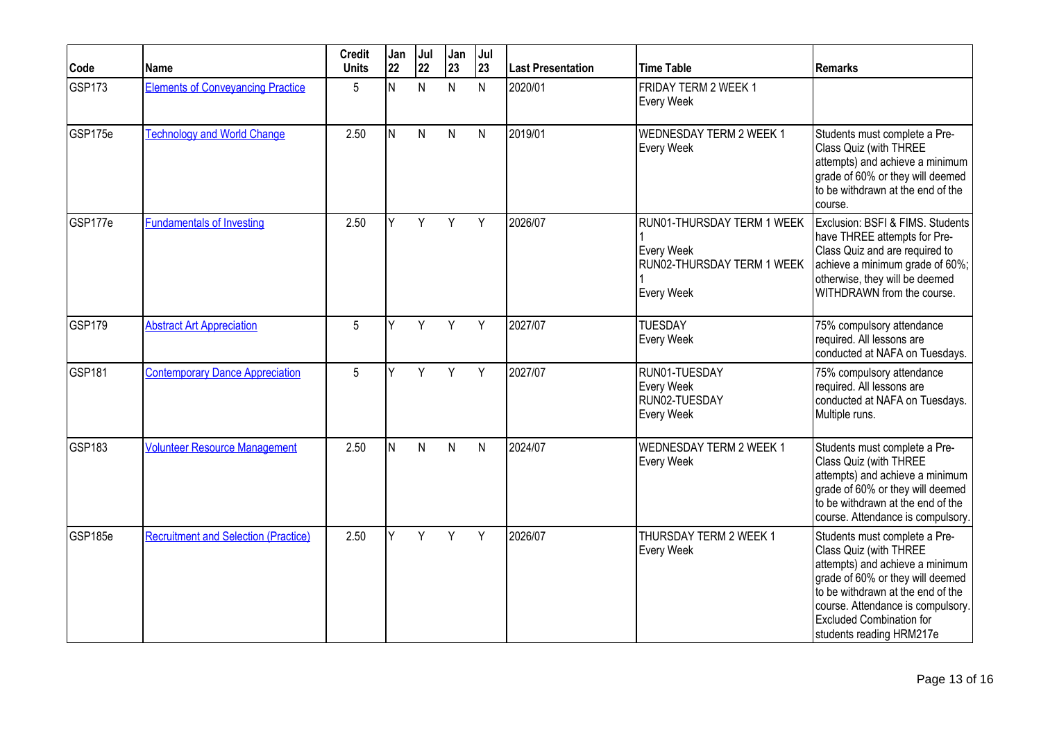| Code          | <b>Name</b>                                 | <b>Credit</b><br><b>Units</b> | Jan<br>22 | Jul<br>22 | Jan<br>23    | Jul<br>23    | Last Presentation | <b>Time Table</b>                                                                    | <b>Remarks</b>                                                                                                                                                                                                                                                          |
|---------------|---------------------------------------------|-------------------------------|-----------|-----------|--------------|--------------|-------------------|--------------------------------------------------------------------------------------|-------------------------------------------------------------------------------------------------------------------------------------------------------------------------------------------------------------------------------------------------------------------------|
| <b>GSP173</b> | <b>Elements of Conveyancing Practice</b>    | 5                             | N         | N         | $\mathsf{N}$ | $\mathsf{N}$ | 2020/01           | FRIDAY TERM 2 WEEK 1<br>Every Week                                                   |                                                                                                                                                                                                                                                                         |
| GSP175e       | <b>Technology and World Change</b>          | 2.50                          | N.        | N         | $\mathsf{N}$ | N            | 2019/01           | <b>WEDNESDAY TERM 2 WEEK 1</b><br>Every Week                                         | Students must complete a Pre-<br>Class Quiz (with THREE<br>attempts) and achieve a minimum<br>grade of 60% or they will deemed<br>to be withdrawn at the end of the<br>course.                                                                                          |
| GSP177e       | <b>Fundamentals of Investing</b>            | 2.50                          | Y         | Y         | Y            | Y            | 2026/07           | RUN01-THURSDAY TERM 1 WEEK<br>Every Week<br>RUN02-THURSDAY TERM 1 WEEK<br>Every Week | Exclusion: BSFI & FIMS. Students<br>have THREE attempts for Pre-<br>Class Quiz and are required to<br>achieve a minimum grade of 60%;<br>otherwise, they will be deemed<br>WITHDRAWN from the course.                                                                   |
| <b>GSP179</b> | <b>Abstract Art Appreciation</b>            | 5                             | Y         | Y         | Y            | Y            | 2027/07           | <b>TUESDAY</b><br>Every Week                                                         | 75% compulsory attendance<br>required. All lessons are<br>conducted at NAFA on Tuesdays.                                                                                                                                                                                |
| <b>GSP181</b> | <b>Contemporary Dance Appreciation</b>      | 5                             | Y         | Y         | Y            | Y            | 2027/07           | RUN01-TUESDAY<br>Every Week<br>RUN02-TUESDAY<br>Every Week                           | 75% compulsory attendance<br>required. All lessons are<br>conducted at NAFA on Tuesdays.<br>Multiple runs.                                                                                                                                                              |
| GSP183        | <b>Volunteer Resource Management</b>        | 2.50                          | N.        | N         | N            | N            | 2024/07           | <b>WEDNESDAY TERM 2 WEEK 1</b><br>Every Week                                         | Students must complete a Pre-<br>Class Quiz (with THREE<br>attempts) and achieve a minimum<br>grade of 60% or they will deemed<br>to be withdrawn at the end of the<br>course. Attendance is compulsory.                                                                |
| GSP185e       | <b>Recruitment and Selection (Practice)</b> | 2.50                          | Y.        | Y         | Y            | Y            | 2026/07           | THURSDAY TERM 2 WEEK 1<br>Every Week                                                 | Students must complete a Pre-<br>Class Quiz (with THREE<br>attempts) and achieve a minimum<br>grade of 60% or they will deemed<br>to be withdrawn at the end of the<br>course. Attendance is compulsory.<br><b>Excluded Combination for</b><br>students reading HRM217e |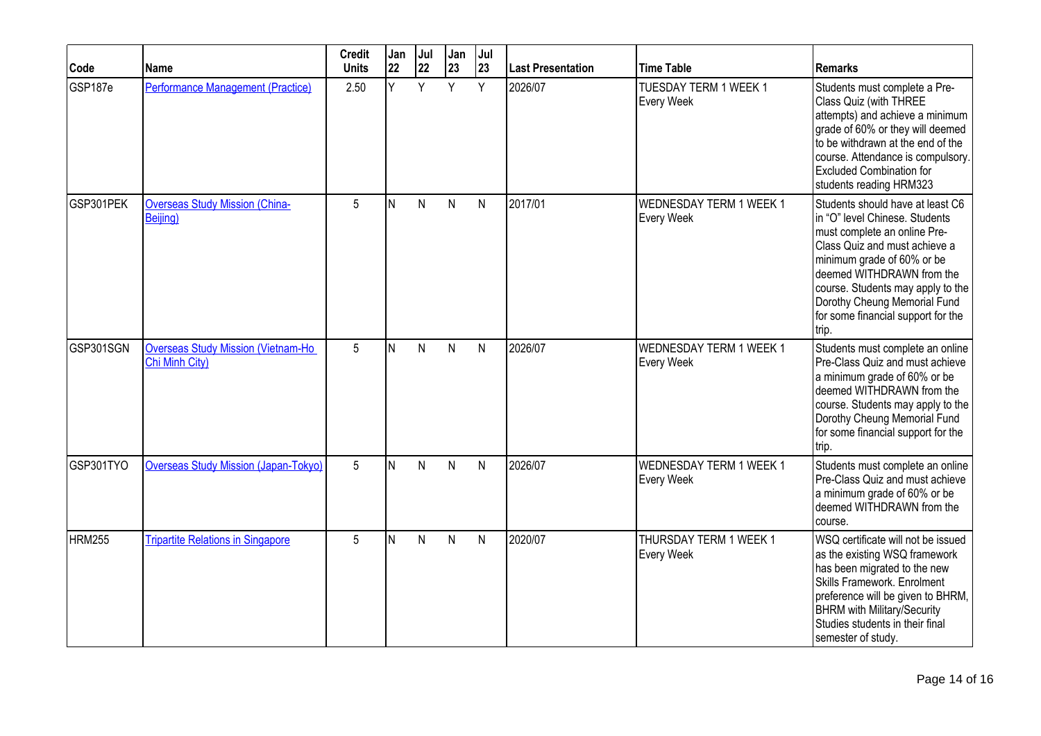| Code      | Name                                                         | <b>Credit</b><br><b>Units</b> | Jan<br>22 | Jul<br>22 | Jan<br>23    | Jul<br>23    | <b>Last Presentation</b> | <b>Time Table</b>                            | <b>Remarks</b>                                                                                                                                                                                                                                                                                                     |
|-----------|--------------------------------------------------------------|-------------------------------|-----------|-----------|--------------|--------------|--------------------------|----------------------------------------------|--------------------------------------------------------------------------------------------------------------------------------------------------------------------------------------------------------------------------------------------------------------------------------------------------------------------|
| GSP187e   | Performance Management (Practice)                            | 2.50                          | Ý.        | Y         | Y            | Y            | 2026/07                  | <b>TUESDAY TERM 1 WEEK 1</b><br>Every Week   | Students must complete a Pre-<br>Class Quiz (with THREE<br>attempts) and achieve a minimum<br>grade of 60% or they will deemed<br>to be withdrawn at the end of the<br>course. Attendance is compulsory.<br><b>Excluded Combination for</b><br>students reading HRM323                                             |
| GSP301PEK | <b>Overseas Study Mission (China-</b><br>Beijing)            | 5                             | IN.       | N         | N            | N            | 2017/01                  | <b>WEDNESDAY TERM 1 WEEK 1</b><br>Every Week | Students should have at least C6<br>in "O" level Chinese. Students<br>must complete an online Pre-<br>Class Quiz and must achieve a<br>minimum grade of 60% or be<br>deemed WITHDRAWN from the<br>course. Students may apply to the<br>Dorothy Cheung Memorial Fund<br>for some financial support for the<br>trip. |
| GSP301SGN | <b>Overseas Study Mission (Vietnam-Ho)</b><br>Chi Minh City) | 5                             | IN.       | N         | $\mathsf{N}$ | $\mathsf{N}$ | 2026/07                  | <b>WEDNESDAY TERM 1 WEEK 1</b><br>Every Week | Students must complete an online<br>Pre-Class Quiz and must achieve<br>a minimum grade of 60% or be<br>deemed WITHDRAWN from the<br>course. Students may apply to the<br>Dorothy Cheung Memorial Fund<br>for some financial support for the<br>trip.                                                               |
| GSP301TYO | <b>Overseas Study Mission (Japan-Tokyo)</b>                  | 5                             | N         | N         | N            | $\mathsf{N}$ | 2026/07                  | <b>WEDNESDAY TERM 1 WEEK 1</b><br>Every Week | Students must complete an online<br>Pre-Class Quiz and must achieve<br>a minimum grade of 60% or be<br>deemed WITHDRAWN from the<br>course.                                                                                                                                                                        |
| HRM255    | <b>Tripartite Relations in Singapore</b>                     | 5                             | IN.       | N         | $\mathsf{N}$ | $\mathsf{N}$ | 2020/07                  | THURSDAY TERM 1 WEEK 1<br>Every Week         | WSQ certificate will not be issued<br>as the existing WSQ framework<br>has been migrated to the new<br>Skills Framework. Enrolment<br>preference will be given to BHRM,<br><b>BHRM</b> with Military/Security<br>Studies students in their final<br>semester of study.                                             |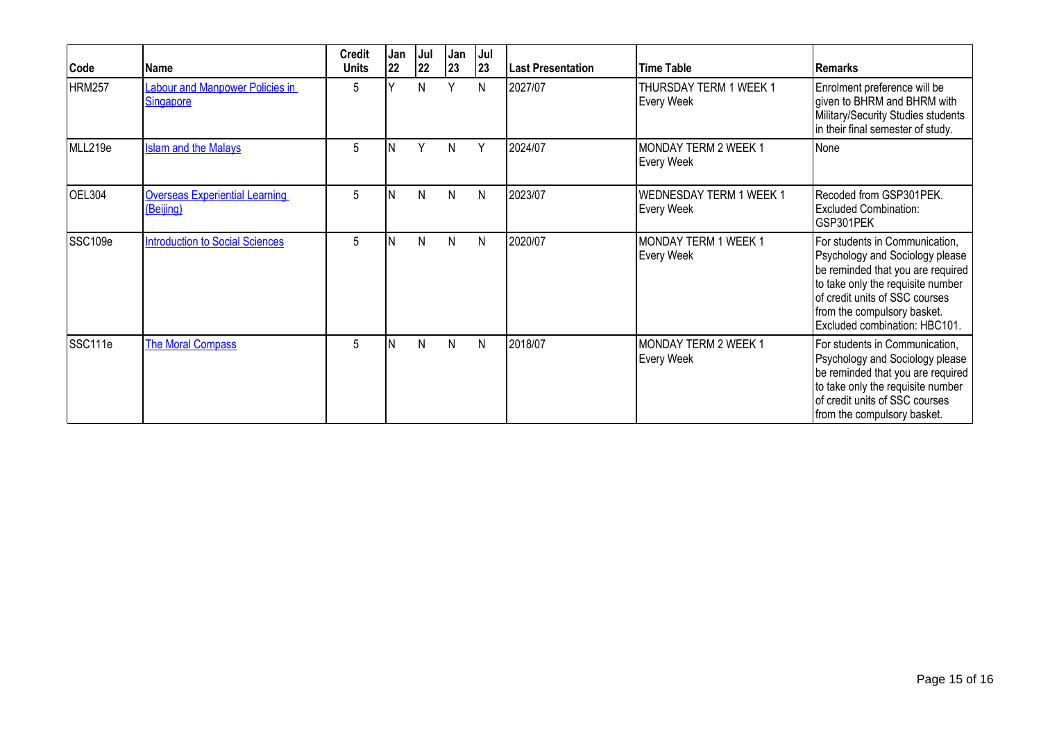| Code          | Name                                               | <b>Credit</b><br><b>Units</b> | Jan<br>22 | Jul<br>22    | Jan<br> 23   | Jul<br> 23 | <b>Last Presentation</b> | <b>Time Table</b>                         | Remarks                                                                                                                                                                                                                                       |
|---------------|----------------------------------------------------|-------------------------------|-----------|--------------|--------------|------------|--------------------------|-------------------------------------------|-----------------------------------------------------------------------------------------------------------------------------------------------------------------------------------------------------------------------------------------------|
| <b>HRM257</b> | Labour and Manpower Policies in<br>Singapore       | 5                             |           | N            | $\checkmark$ | N          | 2027/07                  | THURSDAY TERM 1 WEEK 1<br>Every Week      | Enrolment preference will be<br>given to BHRM and BHRM with<br>Military/Security Studies students<br>in their final semester of study.                                                                                                        |
| MLL219e       | <b>Islam and the Malays</b>                        | 5                             |           | $\checkmark$ | N            | Y          | 2024/07                  | <b>MONDAY TERM 2 WEEK 1</b><br>Every Week | None                                                                                                                                                                                                                                          |
| OEL304        | <b>Overseas Experiential Learning</b><br>(Beijing) | 5                             | IN.       | N            | N            | N          | 2023/07                  | WEDNESDAY TERM 1 WEEK 1<br>Every Week     | Recoded from GSP301PEK.<br><b>Excluded Combination:</b><br>GSP301PEK                                                                                                                                                                          |
| SSC109e       | <b>Introduction to Social Sciences</b>             | 5                             |           | N            | N            | N          | 2020/07                  | MONDAY TERM 1 WEEK 1<br>Every Week        | For students in Communication,<br>Psychology and Sociology please<br>be reminded that you are required<br>to take only the requisite number<br>of credit units of SSC courses<br>from the compulsory basket.<br>Excluded combination: HBC101. |
| SSC111e       | <b>The Moral Compass</b>                           | 5                             | IN.       | N            | N            | N          | 2018/07                  | MONDAY TERM 2 WEEK 1<br>Every Week        | For students in Communication,<br>Psychology and Sociology please<br>be reminded that you are required<br>to take only the requisite number<br>of credit units of SSC courses<br>from the compulsory basket.                                  |